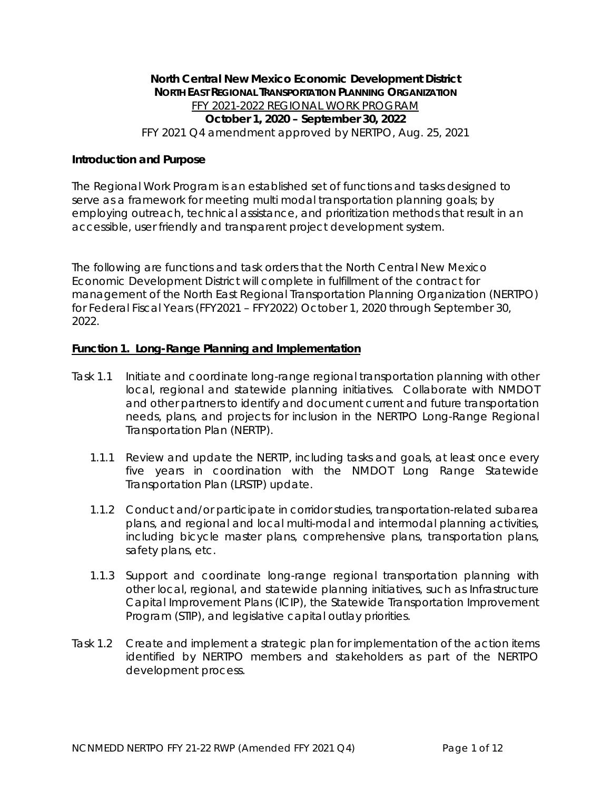# **North Central New Mexico Economic Development District NORTH EAST REGIONAL TRANSPORTATION PLANNING ORGANIZATION** FFY 2021-2022 REGIONAL WORK PROGRAM **October 1, 2020 – September 30, 2022** FFY 2021 Q4 amendment approved by NERTPO, Aug. 25, 2021

## **Introduction and Purpose**

The Regional Work Program is an established set of functions and tasks designed to serve as a framework for meeting multi modal transportation planning goals; by employing outreach, technical assistance, and prioritization methods that result in an accessible, user friendly and transparent project development system.

The following are functions and task orders that the North Central New Mexico Economic Development District will complete in fulfillment of the contract for management of the North East Regional Transportation Planning Organization (NERTPO) for Federal Fiscal Years (FFY2021 – FFY2022) October 1, 2020 through September 30, 2022.

# **Function 1. Long-Range Planning and Implementation**

- Task 1.1 Initiate and coordinate long-range regional transportation planning with other local, regional and statewide planning initiatives. Collaborate with NMDOT and other partners to identify and document current and future transportation needs, plans, and projects for inclusion in the NERTPO Long-Range Regional Transportation Plan (NERTP).
	- 1.1.1 Review and update the NERTP, including tasks and goals, at least once every five years in coordination with the NMDOT Long Range Statewide Transportation Plan (LRSTP) update.
	- 1.1.2 Conduct and/or participate in corridor studies, transportation-related subarea plans, and regional and local multi-modal and intermodal planning activities, including bicycle master plans, comprehensive plans, transportation plans, safety plans, etc.
	- 1.1.3 Support and coordinate long-range regional transportation planning with other local, regional, and statewide planning initiatives, such as Infrastructure Capital Improvement Plans (ICIP), the Statewide Transportation Improvement Program (STIP), and legislative capital outlay priorities.
- Task 1.2 Create and implement a strategic plan for implementation of the action items identified by NERTPO members and stakeholders as part of the NERTPO development process.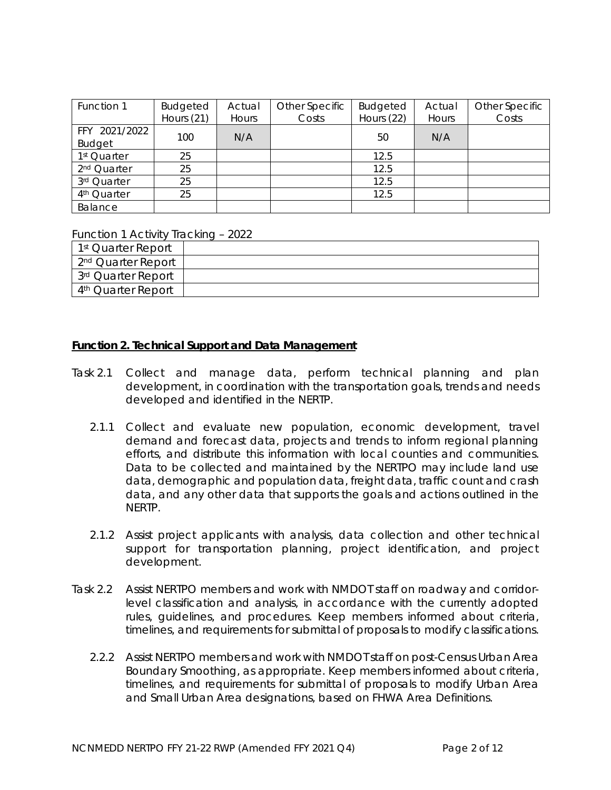| Function 1              | <b>Budgeted</b> | Actual | Other Specific | <b>Budgeted</b> | Actual | Other Specific |
|-------------------------|-----------------|--------|----------------|-----------------|--------|----------------|
|                         | Hours (21)      | Hours  | Costs          | Hours (22)      | Hours  | Costs          |
| FFY 2021/2022           |                 | N/A    |                |                 |        |                |
| <b>Budget</b>           | 100             |        |                | 50              | N/A    |                |
| 1 <sup>st</sup> Quarter | 25              |        |                | 12.5            |        |                |
| 2 <sup>nd</sup> Quarter | 25              |        |                | 12.5            |        |                |
| 3rd Quarter             | 25              |        |                | 12.5            |        |                |
| 4 <sup>th</sup> Quarter | 25              |        |                | 12.5            |        |                |
| Balance                 |                 |        |                |                 |        |                |

#### Function 1 Activity Tracking – 2022

| 1 <sup>st</sup> Quarter Report |  |
|--------------------------------|--|
| 2 <sup>nd</sup> Quarter Report |  |
| 3rd Quarter Report             |  |
| 4 <sup>th</sup> Quarter Report |  |

#### **Function 2. Technical Support and Data Management**

- Task 2.1 Collect and manage data, perform technical planning and plan development, in coordination with the transportation goals, trends and needs developed and identified in the NERTP.
	- 2.1.1 Collect and evaluate new population, economic development, travel demand and forecast data, projects and trends to inform regional planning efforts, and distribute this information with local counties and communities. Data to be collected and maintained by the NERTPO may include land use data, demographic and population data, freight data, traffic count and crash data, and any other data that supports the goals and actions outlined in the NERTP.
	- 2.1.2 Assist project applicants with analysis, data collection and other technical support for transportation planning, project identification, and project development.
- Task 2.2 Assist NERTPO members and work with NMDOT staff on roadway and corridorlevel classification and analysis, in accordance with the currently adopted rules, guidelines, and procedures. Keep members informed about criteria, timelines, and requirements for submittal of proposals to modify classifications.
	- 2.2.2 Assist NERTPO members and work with NMDOT staff on post-Census Urban Area Boundary Smoothing, as appropriate. Keep members informed about criteria, timelines, and requirements for submittal of proposals to modify Urban Area and Small Urban Area designations, based on FHWA Area Definitions.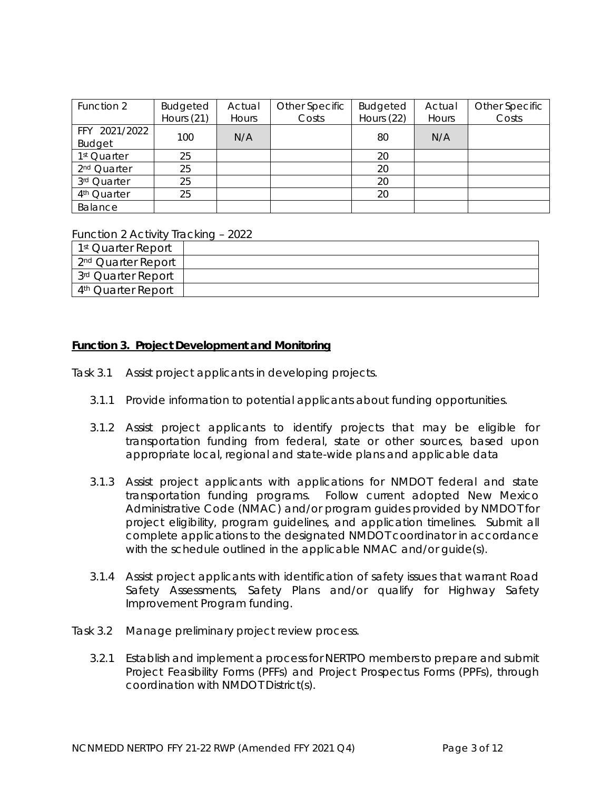| Function 2              | Budgeted   | Actual | Other Specific | <b>Budgeted</b> | Actual | Other Specific |
|-------------------------|------------|--------|----------------|-----------------|--------|----------------|
|                         | Hours (21) | Hours  | Costs          | Hours (22)      | Hours  | Costs          |
| FFY 2021/2022           | 100        | N/A    |                |                 | N/A    |                |
| <b>Budget</b>           |            |        |                | 80              |        |                |
| 1 <sup>st</sup> Quarter | 25         |        |                | 20              |        |                |
| 2 <sup>nd</sup> Quarter | 25         |        |                | 20              |        |                |
| 3rd Quarter             | 25         |        |                | 20              |        |                |
| 4 <sup>th</sup> Quarter | 25         |        |                | 20              |        |                |
| Balance                 |            |        |                |                 |        |                |

Function 2 Activity Tracking – 2022

| 1 <sup>st</sup> Quarter Report |  |
|--------------------------------|--|
| 2 <sup>nd</sup> Quarter Report |  |
| 3 <sup>rd</sup> Quarter Report |  |
| 4 <sup>th</sup> Quarter Report |  |

#### **Function 3. Project Development and Monitoring**

- Task 3.1 Assist project applicants in developing projects.
	- 3.1.1 Provide information to potential applicants about funding opportunities.
	- 3.1.2 Assist project applicants to identify projects that may be eligible for transportation funding from federal, state or other sources, based upon appropriate local, regional and state-wide plans and applicable data
	- 3.1.3 Assist project applicants with applications for NMDOT federal and state transportation funding programs. Follow current adopted New Mexico Administrative Code (NMAC) and/or program guides provided by NMDOT for project eligibility, program guidelines, and application timelines. Submit all complete applications to the designated NMDOT coordinator in accordance with the schedule outlined in the applicable NMAC and/or quide(s).
	- 3.1.4 Assist project applicants with identification of safety issues that warrant Road Safety Assessments, Safety Plans and/or qualify for Highway Safety Improvement Program funding.
- Task 3.2 Manage preliminary project review process.
	- 3.2.1 Establish and implement a process for NERTPO members to prepare and submit Project Feasibility Forms (PFFs) and Project Prospectus Forms (PPFs), through coordination with NMDOT District(s).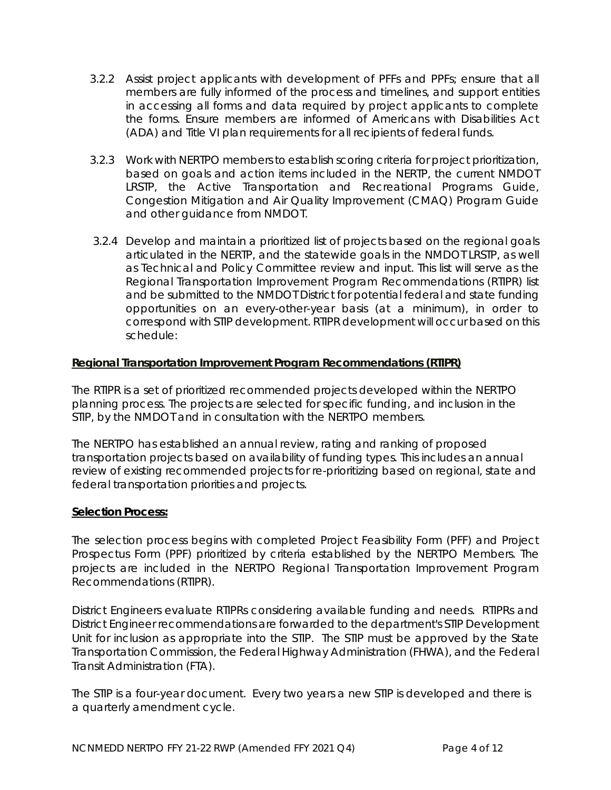- 3.2.2 Assist project applicants with development of PFFs and PPFs; ensure that all members are fully informed of the process and timelines, and support entities in accessing all forms and data required by project applicants to complete the forms. Ensure members are informed of Americans with Disabilities Act (ADA) and Title VI plan requirements for all recipients of federal funds.
- 3.2.3 Work with NERTPO members to establish scoring criteria for project prioritization, based on goals and action items included in the NERTP, the current NMDOT LRSTP, the Active Transportation and Recreational Programs Guide, Congestion Mitigation and Air Quality Improvement (CMAQ) Program Guide and other guidance from NMDOT.
- 3.2.4 Develop and maintain a prioritized list of projects based on the regional goals articulated in the NERTP, and the statewide goals in the NMDOT LRSTP, as well as Technical and Policy Committee review and input. This list will serve as the Regional Transportation Improvement Program Recommendations (RTIPR) list and be submitted to the NMDOT District for potential federal and state funding opportunities on an every-other-year basis (at a minimum), in order to correspond with STIP development. RTIPR development will occur based on this schedule:

# **Regional Transportation Improvement Program Recommendations (RTIPR)**

The RTIPR is a set of prioritized recommended projects developed within the NERTPO planning process. The projects are selected for specific funding, and inclusion in the STIP, by the NMDOT and in consultation with the NERTPO members.

The NERTPO has established an annual review, rating and ranking of proposed transportation projects based on availability of funding types. This includes an annual review of existing recommended projects for re-prioritizing based on regional, state and federal transportation priorities and projects.

## **Selection Process:**

The selection process begins with completed Project Feasibility Form (PFF) and Project Prospectus Form (PPF) prioritized by criteria established by the NERTPO Members. The projects are included in the NERTPO Regional Transportation Improvement Program Recommendations (RTIPR).

District Engineers evaluate RTIPRs considering available funding and needs. RTIPRs and District Engineer recommendations are forwarded to the department's STIP Development Unit for inclusion as appropriate into the STIP. The STIP must be approved by the State Transportation Commission, the Federal Highway Administration (FHWA), and the Federal Transit Administration (FTA).

The STIP is a four-year document. Every two years a new STIP is developed and there is a quarterly amendment cycle.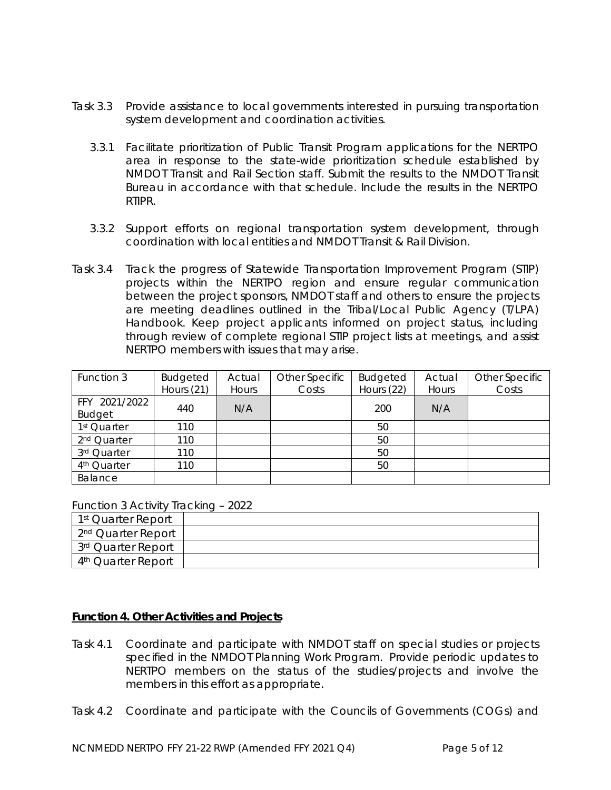- Task 3.3 Provide assistance to local governments interested in pursuing transportation system development and coordination activities.
	- 3.3.1 Facilitate prioritization of Public Transit Program applications for the NERTPO area in response to the state-wide prioritization schedule established by NMDOT Transit and Rail Section staff. Submit the results to the NMDOT Transit Bureau in accordance with that schedule. Include the results in the NERTPO RTIPR.
	- 3.3.2 Support efforts on regional transportation system development, through coordination with local entities and NMDOT Transit & Rail Division.
- Task 3.4 Track the progress of Statewide Transportation Improvement Program (STIP) projects within the NERTPO region and ensure regular communication between the project sponsors, NMDOT staff and others to ensure the projects are meeting deadlines outlined in the Tribal/Local Public Agency (T/LPA) Handbook. Keep project applicants informed on project status, including through review of complete regional STIP project lists at meetings, and assist NERTPO members with issues that may arise.

| Function 3              | Budgeted     | Actual | Other Specific | <b>Budgeted</b> | Actual | Other Specific |
|-------------------------|--------------|--------|----------------|-----------------|--------|----------------|
|                         | Hours $(21)$ | Hours  | Costs          | Hours (22)      | Hours  | Costs          |
| FFY 2021/2022           |              |        |                | 200             |        |                |
| <b>Budget</b>           | 440          | N/A    |                |                 | N/A    |                |
| 1 <sup>st</sup> Quarter | 110          |        |                | 50              |        |                |
| 2 <sup>nd</sup> Quarter | 110          |        |                | 50              |        |                |
| 3rd Quarter             | 110          |        |                | 50              |        |                |
| 4 <sup>th</sup> Quarter | 110          |        |                | 50              |        |                |
| Balance                 |              |        |                |                 |        |                |

Function 3 Activity Tracking – 2022

| 1 <sup>st</sup> Quarter Report |  |
|--------------------------------|--|
| 2 <sup>nd</sup> Quarter Report |  |
| 3rd Quarter Report             |  |
| 4 <sup>th</sup> Quarter Report |  |

## **Function 4. Other Activities and Projects**

- Task 4.1 Coordinate and participate with NMDOT staff on special studies or projects specified in the NMDOT Planning Work Program. Provide periodic updates to NERTPO members on the status of the studies/projects and involve the members in this effort as appropriate.
- Task 4.2 Coordinate and participate with the Councils of Governments (COGs) and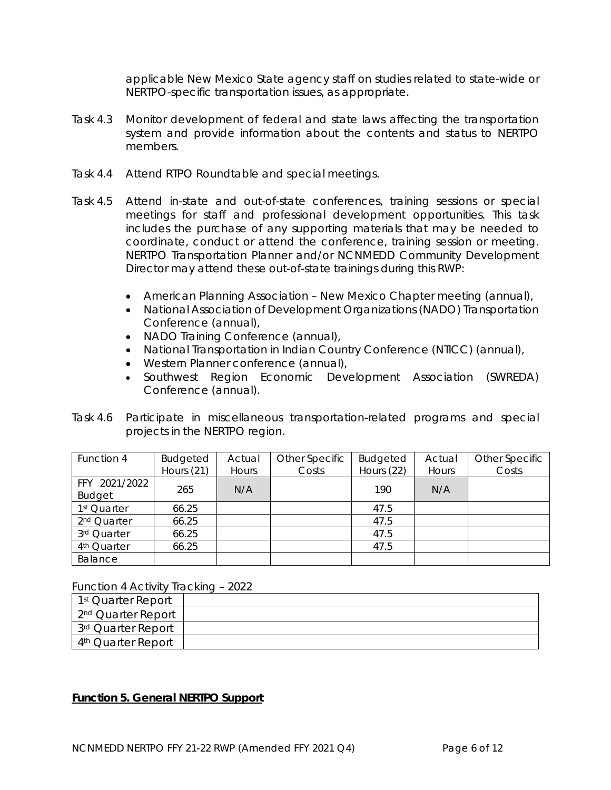applicable New Mexico State agency staff on studies related to state-wide or NERTPO-specific transportation issues, as appropriate.

- Task 4.3 Monitor development of federal and state laws affecting the transportation system and provide information about the contents and status to NERTPO members.
- Task 4.4 Attend RTPO Roundtable and special meetings.
- Task 4.5 Attend in-state and out-of-state conferences, training sessions or special meetings for staff and professional development opportunities. This task includes the purchase of any supporting materials that may be needed to coordinate, conduct or attend the conference, training session or meeting. NERTPO Transportation Planner and/or NCNMEDD Community Development Director may attend these out-of-state trainings during this RWP:
	- American Planning Association New Mexico Chapter meeting (annual),
	- National Association of Development Organizations (NADO) Transportation Conference (annual),
	- NADO Training Conference (annual),
	- National Transportation in Indian Country Conference (NTICC) (annual),
	- Western Planner conference (annual),
	- Southwest Region Economic Development Association (SWREDA) Conference (annual).
- Task 4.6 Participate in miscellaneous transportation-related programs and special projects in the NERTPO region.

| Function 4                     | Budgeted<br>Hours $(21)$ | Actual<br>Hours | Other Specific<br>Costs | Budgeted<br>Hours (22) | Actual<br>Hours | Other Specific<br>Costs |
|--------------------------------|--------------------------|-----------------|-------------------------|------------------------|-----------------|-------------------------|
| FFY 2021/2022<br><b>Budget</b> | 265                      | N/A             |                         | 190                    | N/A             |                         |
| 1 <sup>st</sup> Quarter        | 66.25                    |                 |                         | 47.5                   |                 |                         |
| 2 <sup>nd</sup> Quarter        | 66.25                    |                 |                         | 47.5                   |                 |                         |
| 3rd Quarter                    | 66.25                    |                 |                         | 47.5                   |                 |                         |
| 4 <sup>th</sup> Quarter        | 66.25                    |                 |                         | 47.5                   |                 |                         |
| Balance                        |                          |                 |                         |                        |                 |                         |

Function 4 Activity Tracking – 2022

| 1 <sup>st</sup> Quarter Report |  |
|--------------------------------|--|
| 2 <sup>nd</sup> Quarter Report |  |
| 3rd Quarter Report             |  |
| 4 <sup>th</sup> Quarter Report |  |

## **Function 5. General NERTPO Support**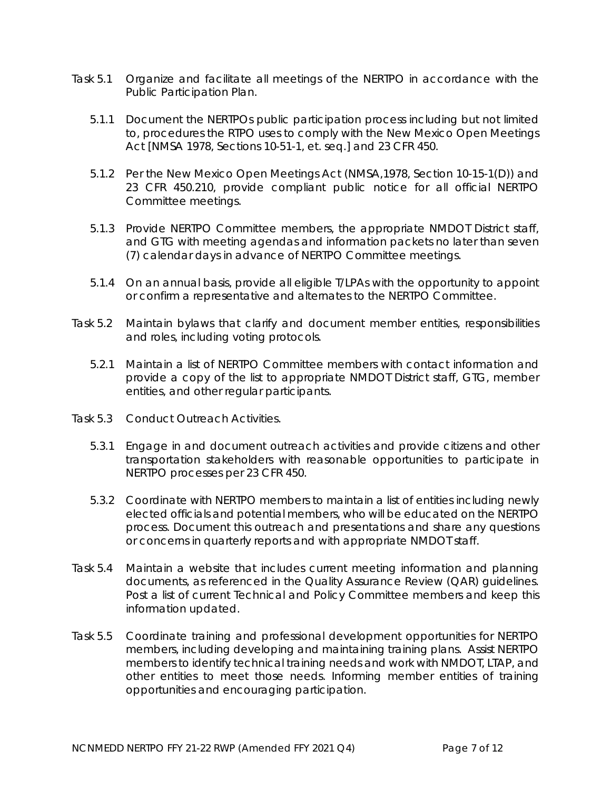- Task 5.1 Organize and facilitate all meetings of the NERTPO in accordance with the Public Participation Plan.
	- 5.1.1 Document the NERTPOs public participation process including but not limited to, procedures the RTPO uses to comply with the *New Mexico Open Meetings Act* [NMSA 1978, Sections 10-51-1, *et. seq.*] and 23 CFR 450.
	- 5.1.2 Per the *New Mexico Open Meetings Act* (NMSA,1978, Section 10-15-1(D)) and 23 CFR 450.210, provide compliant public notice for all official NERTPO Committee meetings.
	- 5.1.3 Provide NERTPO Committee members, the appropriate NMDOT District staff, and GTG with meeting agendas and information packets no later than seven (7) calendar days in advance of NERTPO Committee meetings.
	- 5.1.4 On an annual basis, provide all eligible T/LPAs with the opportunity to appoint or confirm a representative and alternates to the NERTPO Committee.
- Task 5.2 Maintain bylaws that clarify and document member entities, responsibilities and roles, including voting protocols.
	- 5.2.1 Maintain a list of NERTPO Committee members with contact information and provide a copy of the list to appropriate NMDOT District staff, GTG, member entities, and other regular participants.
- Task 5.3 Conduct Outreach Activities.
	- 5.3.1 Engage in and document outreach activities and provide citizens and other transportation stakeholders with reasonable opportunities to participate in NERTPO processes per 23 CFR 450.
	- 5.3.2 Coordinate with NERTPO members to maintain a list of entities including newly elected officials and potential members, who will be educated on the NERTPO process. Document this outreach and presentations and share any questions or concerns in quarterly reports and with appropriate NMDOT staff.
- Task 5.4 Maintain a website that includes current meeting information and planning documents, as referenced in the Quality Assurance Review (QAR) guidelines. Post a list of current Technical and Policy Committee members and keep this information updated.
- Task 5.5 Coordinate training and professional development opportunities for NERTPO members, including developing and maintaining training plans. Assist NERTPO members to identify technical training needs and work with NMDOT, LTAP, and other entities to meet those needs. Informing member entities of training opportunities and encouraging participation.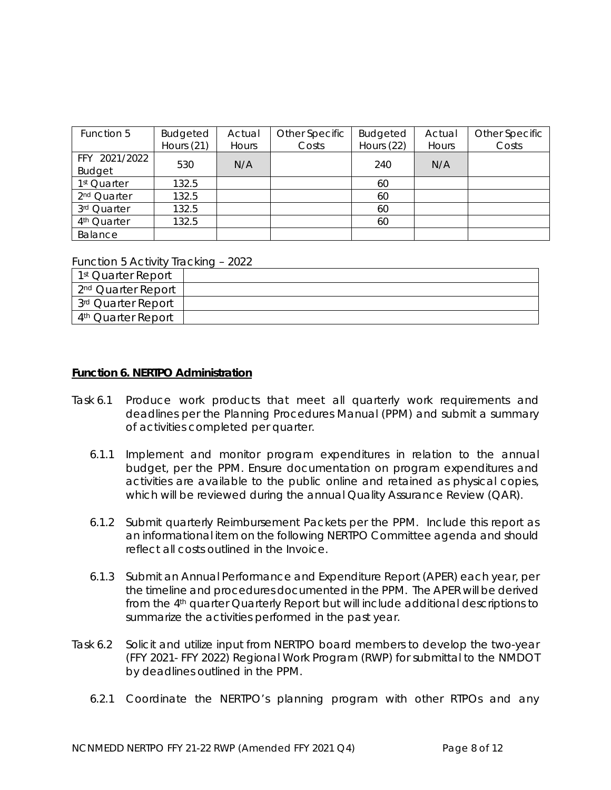| Function 5                     | <b>Budgeted</b><br>Hours $(21)$ | Actual<br>Hours | Other Specific<br>Costs | <b>Budgeted</b><br>Hours (22) | Actual<br>Hours | Other Specific<br>Costs |
|--------------------------------|---------------------------------|-----------------|-------------------------|-------------------------------|-----------------|-------------------------|
| FFY 2021/2022<br><b>Budget</b> | 530                             | N/A             |                         | 240                           | N/A             |                         |
| 1 <sup>st</sup> Quarter        | 132.5                           |                 |                         | 60                            |                 |                         |
| 2 <sup>nd</sup> Quarter        | 132.5                           |                 |                         | 60                            |                 |                         |
| 3rd Quarter                    | 132.5                           |                 |                         | 60                            |                 |                         |
| 4 <sup>th</sup> Quarter        | 132.5                           |                 |                         | 60                            |                 |                         |
| Balance                        |                                 |                 |                         |                               |                 |                         |

Function 5 Activity Tracking – 2022

| 1 <sup>st</sup> Quarter Report |  |
|--------------------------------|--|
| 2 <sup>nd</sup> Quarter Report |  |
| 3 <sup>rd</sup> Quarter Report |  |
| 4 <sup>th</sup> Quarter Report |  |

## **Function 6. NERTPO Administration**

- Task 6.1 Produce work products that meet all quarterly work requirements and deadlines per the Planning Procedures Manual (PPM) and submit a summary of activities completed per quarter.
	- 6.1.1 Implement and monitor program expenditures in relation to the annual budget, per the PPM. Ensure documentation on program expenditures and activities are available to the public online and retained as physical copies, which will be reviewed during the annual Quality Assurance Review (QAR).
	- 6.1.2 Submit quarterly Reimbursement Packets per the PPM. Include this report as an informational item on the following NERTPO Committee agenda and should reflect all costs outlined in the Invoice.
	- 6.1.3 Submit an Annual Performance and Expenditure Report (APER) each year, per the timeline and procedures documented in the PPM. The APER will be derived from the 4th quarter Quarterly Report but will include additional descriptions to summarize the activities performed in the past year.
- Task 6.2 Solicit and utilize input from NERTPO board members to develop the two-year (FFY 2021- FFY 2022) Regional Work Program (RWP) for submittal to the NMDOT by deadlines outlined in the PPM.
	- 6.2.1 Coordinate the NERTPO's planning program with other RTPOs and any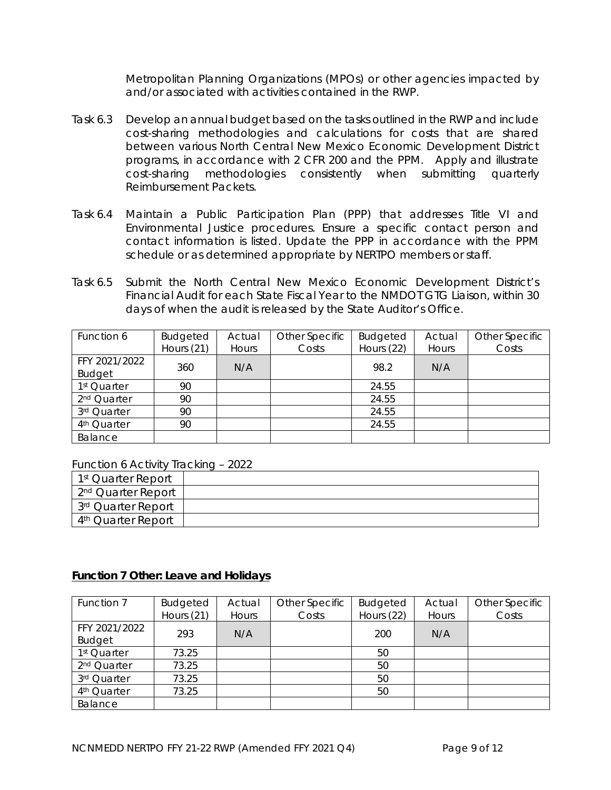Metropolitan Planning Organizations (MPOs) or other agencies impacted by and/or associated with activities contained in the RWP.

- Task 6.3 Develop an annual budget based on the tasks outlined in the RWP and include cost-sharing methodologies and calculations for costs that are shared between various North Central New Mexico Economic Development District programs, in accordance with 2 CFR 200 and the PPM. Apply and illustrate cost-sharing methodologies consistently when submitting quarterly Reimbursement Packets.
- Task 6.4 Maintain a Public Participation Plan (PPP) that addresses Title VI and Environmental Justice procedures. Ensure a specific contact person and contact information is listed. Update the PPP in accordance with the PPM schedule or as determined appropriate by NERTPO members or staff.
- Task 6.5 Submit the North Central New Mexico Economic Development District's Financial Audit for each State Fiscal Year to the NMDOT GTG Liaison, within 30 days of when the audit is released by the State Auditor's Office.

| Function 6              | Budgeted     | Actual | Other Specific | <b>Budgeted</b> | Actual | Other Specific |
|-------------------------|--------------|--------|----------------|-----------------|--------|----------------|
|                         | Hours $(21)$ | Hours  | Costs          | Hours (22)      | Hours  | Costs          |
| FFY 2021/2022           | 360          | N/A    |                | 98.2            |        |                |
| <b>Budget</b>           |              |        |                |                 | N/A    |                |
| 1 <sup>st</sup> Quarter | 90           |        |                | 24.55           |        |                |
| 2 <sup>nd</sup> Quarter | 90           |        |                | 24.55           |        |                |
| 3rd Quarter             | 90           |        |                | 24.55           |        |                |
| 4 <sup>th</sup> Quarter | 90           |        |                | 24.55           |        |                |
| Balance                 |              |        |                |                 |        |                |

Function 6 Activity Tracking – 2022

| 1 <sup>st</sup> Quarter Report |  |
|--------------------------------|--|
| 2 <sup>nd</sup> Quarter Report |  |
| 3rd Quarter Report             |  |
| 4 <sup>th</sup> Quarter Report |  |

# **Function 7 Other: Leave and Holidays**

| Function 7                     | <b>Budgeted</b><br>Hours (21) | Actual<br>Hours | Other Specific<br>Costs | <b>Budgeted</b><br>Hours (22) | Actual<br>Hours | Other Specific<br>Costs |
|--------------------------------|-------------------------------|-----------------|-------------------------|-------------------------------|-----------------|-------------------------|
| FFY 2021/2022<br><b>Budget</b> | 293                           | N/A             |                         | 200                           | N/A             |                         |
| 1 <sup>st</sup> Quarter        | 73.25                         |                 |                         | 50                            |                 |                         |
| 2 <sup>nd</sup> Quarter        | 73.25                         |                 |                         | 50                            |                 |                         |
| 3rd Quarter                    | 73.25                         |                 |                         | 50                            |                 |                         |
| 4 <sup>th</sup> Quarter        | 73.25                         |                 |                         | 50                            |                 |                         |
| Balance                        |                               |                 |                         |                               |                 |                         |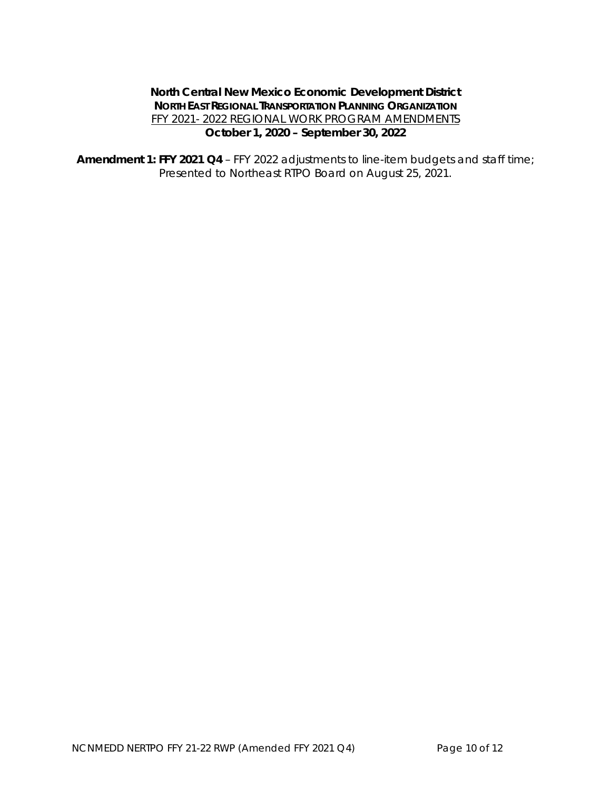# **North Central New Mexico Economic Development District NORTH EAST REGIONAL TRANSPORTATION PLANNING ORGANIZATION** FFY 2021- 2022 REGIONAL WORK PROGRAM AMENDMENTS **October 1, 2020 – September 30, 2022**

**Amendment 1: FFY 2021 Q4** – FFY 2022 adjustments to line-item budgets and staff time; Presented to Northeast RTPO Board on August 25, 2021.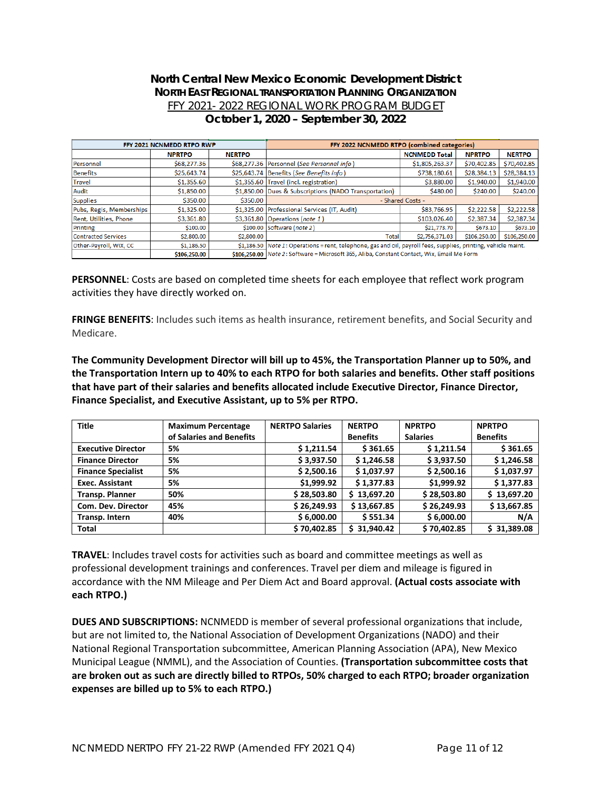## **North Central New Mexico Economic Development District NORTH EAST REGIONAL TRANSPORTATION PLANNING ORGANIZATION** FFY 2021- 2022 REGIONAL WORK PROGRAM BUDGET **October 1, 2020 – September 30, 2022**

| FFY 2021 NCNMEDD RTPO RWP  |                                                                                                                                                                                                                                      |               | FFY 2022 NCNMEDD RTPO (combined categories)                                                                     |                      |               |               |  |
|----------------------------|--------------------------------------------------------------------------------------------------------------------------------------------------------------------------------------------------------------------------------------|---------------|-----------------------------------------------------------------------------------------------------------------|----------------------|---------------|---------------|--|
|                            |                                                                                                                                                                                                                                      |               |                                                                                                                 |                      |               |               |  |
|                            | <b>NPRTPO</b>                                                                                                                                                                                                                        | <b>NERTPO</b> |                                                                                                                 | <b>NCNMEDD Total</b> | <b>NPRTPO</b> | <b>NERTPO</b> |  |
| Personnel                  | \$68,277.36                                                                                                                                                                                                                          |               | \$68,277.36 Personnel (See Personnel info)                                                                      | \$1,805,263.37       | \$70,402.85   | \$70,402.85   |  |
| <b>Benefits</b>            | \$25,643.74                                                                                                                                                                                                                          |               | \$25,643.74 Benefits (See Benefits info)                                                                        | \$738,180.61         | \$28,384.13   | \$28,384.13   |  |
| Travel                     | \$1,355.60                                                                                                                                                                                                                           |               | \$1,355.60 Travel (incl. registration)                                                                          | \$3,880.00           | \$1,940.00    | \$1,940.00    |  |
| Audit                      | \$1,850.00                                                                                                                                                                                                                           |               | \$1,850.00 Dues & Subscriptions (NADO Transportation)                                                           | \$480.00             | \$240.00      | \$240.00      |  |
| <b>Supplies</b>            | \$350.00                                                                                                                                                                                                                             | \$350.00      | - Shared Costs -                                                                                                |                      |               |               |  |
| Pubs, Regis, Memberships   | \$1,325.00                                                                                                                                                                                                                           |               | \$1,325.00 Professional Services (IT, Audit)                                                                    | \$83,766.95          | \$2,222.58    | \$2,222.58    |  |
| Rent, Utilities, Phone     | \$3,361.80                                                                                                                                                                                                                           |               | $$3,361.80$ Operations (note 1)                                                                                 | \$103,026.40         | \$2,387.34    | \$2,387.34    |  |
| Printing                   | \$100.00                                                                                                                                                                                                                             |               | \$100.00 Software (note 2)                                                                                      | \$21,773.70          | \$673.10      | \$673.10      |  |
| <b>Contracted Services</b> | \$2,800.00                                                                                                                                                                                                                           | \$2,800.00    | Total                                                                                                           | \$2,756,371.03       | \$106,250.00  | \$106,250.00  |  |
| Other-Payroll, WIX, CC     | \$1,186.50                                                                                                                                                                                                                           |               | \$1,186.50 Note 1: Operations = rent, telephone, gas and oil, payroll fees, supplies, printing, vehicle maint.  |                      |               |               |  |
|                            | $\blacksquare$ . The contract of the contract of the contract of the contract of the contract of the contract of the contract of the contract of the contract of the contract of the contract of the contract of the contract of the |               | the contract of the contract of the contract of the contract of the contract of the contract of the contract of |                      |               |               |  |

\$106,250.00 \$106,250.00 Note 2: Software = Microsoft 365, Aliba, Constant Contact, Wix, Email Me Form

**PERSONNEL**: Costs are based on completed time sheets for each employee that reflect work program activities they have directly worked on.

**FRINGE BENEFITS**: Includes such items as health insurance, retirement benefits, and Social Security and Medicare.

**The Community Development Director will bill up to 45%, the Transportation Planner up to 50%, and the Transportation Intern up to 40% to each RTPO for both salaries and benefits. Other staff positions that have part of their salaries and benefits allocated include Executive Director, Finance Director, Finance Specialist, and Executive Assistant, up to 5% per RTPO.** 

| <b>Title</b>              | <b>Maximum Percentage</b> | <b>NERTPO Salaries</b> | <b>NERTPO</b>   | <b>NPRTPO</b>   | <b>NPRTPO</b>   |  |
|---------------------------|---------------------------|------------------------|-----------------|-----------------|-----------------|--|
|                           | of Salaries and Benefits  |                        | <b>Benefits</b> | <b>Salaries</b> | <b>Benefits</b> |  |
| <b>Executive Director</b> | 5%                        | \$1,211.54             | \$361.65        | \$1,211.54      | \$361.65        |  |
| <b>Finance Director</b>   | 5%                        | \$3,937.50             | \$1,246.58      | \$3,937.50      | \$1,246.58      |  |
| <b>Finance Specialist</b> | 5%                        | \$2,500.16             | \$1,037.97      | \$2,500.16      | \$1,037.97      |  |
| <b>Exec. Assistant</b>    | 5%                        | \$1,999.92             | \$1,377.83      | \$1,999.92      | \$1,377.83      |  |
| <b>Transp. Planner</b>    | 50%                       | \$28,503.80            | \$13,697.20     | \$28,503.80     | \$13,697.20     |  |
| Com. Dev. Director        | 45%                       | \$26,249.93            | \$13,667.85     | \$26,249.93     | \$13,667.85     |  |
| Transp. Intern            | 40%                       | \$6,000.00             | \$551.34        | \$6,000.00      | N/A             |  |
| <b>Total</b>              |                           | \$70,402.85            | \$31,940.42     | \$70,402.85     | \$31,389.08     |  |

**TRAVEL**: Includes travel costs for activities such as board and committee meetings as well as professional development trainings and conferences. Travel per diem and mileage is figured in accordance with the NM Mileage and Per Diem Act and Board approval. **(Actual costs associate with each RTPO.)**

**DUES AND SUBSCRIPTIONS:** NCNMEDD is member of several professional organizations that include, but are not limited to, the National Association of Development Organizations (NADO) and their National Regional Transportation subcommittee, American Planning Association (APA), New Mexico Municipal League (NMML), and the Association of Counties. **(Transportation subcommittee costs that are broken out as such are directly billed to RTPOs, 50% charged to each RTPO; broader organization expenses are billed up to 5% to each RTPO.)**